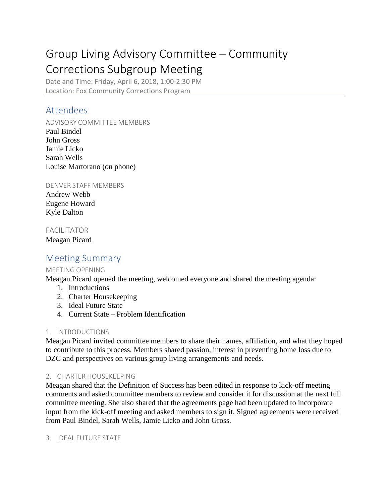# Group Living Advisory Committee – Community Corrections Subgroup Meeting

Date and Time: Friday, April 6, 2018, 1:00-2:30 PM Location: Fox Community Corrections Program

## Attendees

ADVISORY COMMITTEE MEMBERS

Paul Bindel John Gross Jamie Licko Sarah Wells Louise Martorano (on phone)

DENVER STAFF MEMBERS

Andrew Webb Eugene Howard Kyle Dalton

### FACILITATOR

Meagan Picard

## Meeting Summary

#### MEETING OPENING

Meagan Picard opened the meeting, welcomed everyone and shared the meeting agenda:

- 1. Introductions
- 2. Charter Housekeeping
- 3. Ideal Future State
- 4. Current State Problem Identification

#### 1. INTRODUCTIONS

Meagan Picard invited committee members to share their names, affiliation, and what they hoped to contribute to this process. Members shared passion, interest in preventing home loss due to DZC and perspectives on various group living arrangements and needs.

#### 2. CHARTER HOUSEKEEPING

Meagan shared that the Definition of Success has been edited in response to kick-off meeting comments and asked committee members to review and consider it for discussion at the next full committee meeting. She also shared that the agreements page had been updated to incorporate input from the kick-off meeting and asked members to sign it. Signed agreements were received from Paul Bindel, Sarah Wells, Jamie Licko and John Gross.

#### 3. IDEAL FUTURE STATE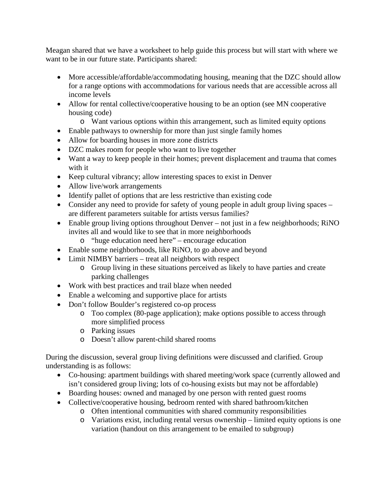Meagan shared that we have a worksheet to help guide this process but will start with where we want to be in our future state. Participants shared:

- More accessible/affordable/accommodating housing, meaning that the DZC should allow for a range options with accommodations for various needs that are accessible across all income levels
- Allow for rental collective/cooperative housing to be an option (see MN cooperative housing code)
	- o Want various options within this arrangement, such as limited equity options
- Enable pathways to ownership for more than just single family homes
- Allow for boarding houses in more zone districts
- DZC makes room for people who want to live together
- Want a way to keep people in their homes; prevent displacement and trauma that comes with it
- Keep cultural vibrancy; allow interesting spaces to exist in Denver
- Allow live/work arrangements
- Identify pallet of options that are less restrictive than existing code
- Consider any need to provide for safety of young people in adult group living spaces are different parameters suitable for artists versus families?
- Enable group living options throughout Denver not just in a few neighborhoods; RiNO invites all and would like to see that in more neighborhoods
	- o "huge education need here" encourage education
- Enable some neighborhoods, like RiNO, to go above and beyond
- Limit NIMBY barriers treat all neighbors with respect
	- o Group living in these situations perceived as likely to have parties and create parking challenges
- Work with best practices and trail blaze when needed
- Enable a welcoming and supportive place for artists
- Don't follow Boulder's registered co-op process
	- o Too complex (80-page application); make options possible to access through more simplified process
	- o Parking issues
	- o Doesn't allow parent-child shared rooms

During the discussion, several group living definitions were discussed and clarified. Group understanding is as follows:

- Co-housing: apartment buildings with shared meeting/work space (currently allowed and isn't considered group living; lots of co-housing exists but may not be affordable)
- Boarding houses: owned and managed by one person with rented guest rooms
- Collective/cooperative housing, bedroom rented with shared bathroom/kitchen
	- o Often intentional communities with shared community responsibilities
	- o Variations exist, including rental versus ownership limited equity options is one variation (handout on this arrangement to be emailed to subgroup)